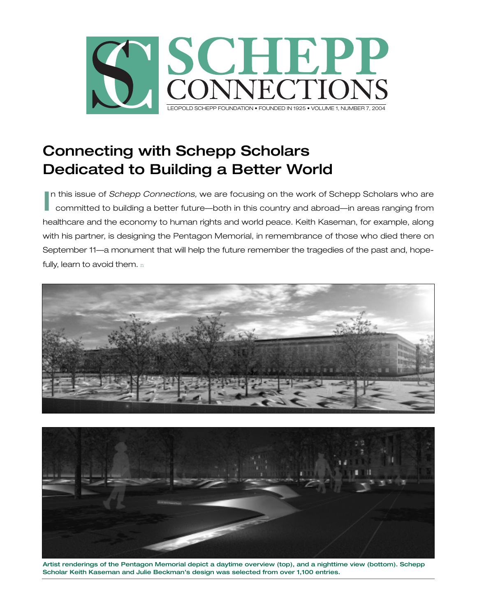

# **Connecting with Schepp Scholars Dedicated to Building a Better World**

In this issue of *Schepp Connections*, we are focusing on the work of Schepp Scholars who are<br>committed to building a better future—both in this country and abroad—in areas ranging from committed to building a better future—both in this country and abroad—in areas ranging from healthcare and the economy to human rights and world peace. Keith Kaseman, for example, along with his partner, is designing the Pentagon Memorial, in remembrance of those who died there on September 11—a monument that will help the future remember the tragedies of the past and, hopefully, learn to avoid them. n





**Artist renderings of the Pentagon Memorial depict a daytime overview (top), and a nighttime view (bottom). Schepp Scholar Keith Kaseman and Julie Beckman's design was selected from over 1,100 entries.**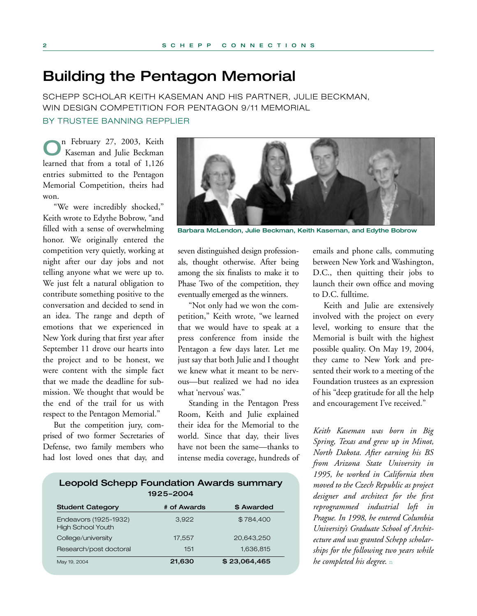## **Building the Pentagon Memorial**

SCHEPP SCHOLAR KEITH KASEMAN AND HIS PARTNER, JULIE BECKMAN, WIN DESIGN COMPETITION FOR PENTAGON 9/11 MEMORIAL BY TRUSTEE BANNING REPPLIER

**O**n February 27, 2003, Keith Kaseman and Julie Beckman learned that from a total of 1,126 entries submitted to the Pentagon Memorial Competition, theirs had won.

"We were incredibly shocked," Keith wrote to Edythe Bobrow, "and filled with a sense of overwhelming honor. We originally entered the competition very quietly, working at night after our day jobs and not telling anyone what we were up to. We just felt a natural obligation to contribute something positive to the conversation and decided to send in an idea. The range and depth of emotions that we experienced in New York during that first year after September 11 drove our hearts into the project and to be honest, we were content with the simple fact that we made the deadline for submission. We thought that would be the end of the trail for us with respect to the Pentagon Memorial."

But the competition jury, comprised of two former Secretaries of Defense, two family members who had lost loved ones that day, and



**Barbara McLendon, Julie Beckman, Keith Kaseman, and Edythe Bobrow**

seven distinguished design professionals, thought otherwise. After being among the six finalists to make it to Phase Two of the competition, they eventually emerged as the winners.

"Not only had we won the competition," Keith wrote, "we learned that we would have to speak at a press conference from inside the Pentagon a few days later. Let me just say that both Julie and I thought we knew what it meant to be nervous—but realized we had no idea what 'nervous' was."

Standing in the Pentagon Press Room, Keith and Julie explained their idea for the Memorial to the world. Since that day, their lives have not been the same—thanks to intense media coverage, hundreds of

emails and phone calls, commuting between New York and Washington, D.C., then quitting their jobs to launch their own office and moving to D.C. fulltime.

Keith and Julie are extensively involved with the project on every level, working to ensure that the Memorial is built with the highest possible quality. On May 19, 2004, they came to New York and presented their work to a meeting of the Foundation trustees as an expression of his "deep gratitude for all the help and encouragement I've received."

*Keith Kaseman was born in Big Spring, Texas and grew up in Minot, North Dakota. After earning his BS from Arizona State University in 1995, he worked in California then moved to the Czech Republic as project designer and architect for the first reprogrammed industrial loft in Prague. In 1998, he entered Columbia University's Graduate School of Architecture and was granted Schepp scholarships for the following two years while he completed his degree*. n

| 1925-2004                                         |             |            |
|---------------------------------------------------|-------------|------------|
| <b>Student Category</b>                           | # of Awards | \$ Awarded |
| Endeavors (1925-1932)<br><b>High School Youth</b> | 3.922       | \$784,400  |
| College/university                                | 17,557      | 20.643.250 |
| Research/post doctoral                            | 151         | 1,636,815  |

May 19, 2004 **21,630 \$ 23,064,465** 

**Leopold Schepp Foundation Awards summary**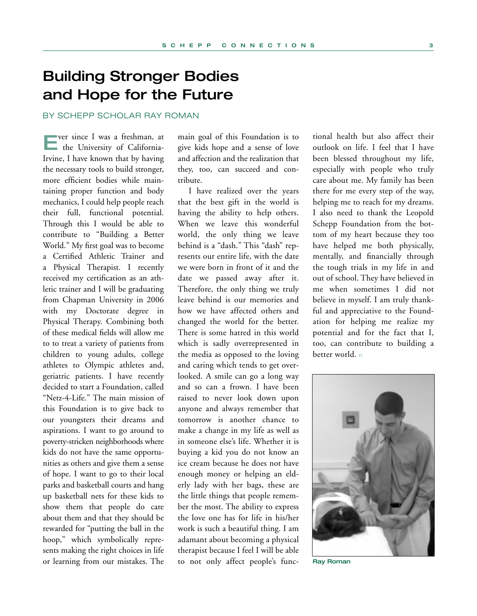# **Building Stronger Bodies and Hope for the Future**

BY SCHEPP SCHOLAR RAY ROMAN

**E**ver since I was a freshman, at the University of California-Irvine, I have known that by having the necessary tools to build stronger, more efficient bodies while maintaining proper function and body mechanics, I could help people reach their full, functional potential. Through this I would be able to contribute to "Building a Better World." My first goal was to become a Certified Athletic Trainer and a Physical Therapist. I recently received my certification as an athletic trainer and I will be graduating from Chapman University in 2006 with my Doctorate degree in Physical Therapy. Combining both of these medical fields will allow me to to treat a variety of patients from children to young adults, college athletes to Olympic athletes and, geriatric patients. I have recently decided to start a Foundation, called "Netz-4-Life." The main mission of this Foundation is to give back to our youngsters their dreams and aspirations. I want to go around to poverty-stricken neighborhoods where kids do not have the same opportunities as others and give them a sense of hope. I want to go to their local parks and basketball courts and hang up basketball nets for these kids to show them that people do care about them and that they should be rewarded for "putting the ball in the hoop," which symbolically represents making the right choices in life or learning from our mistakes. The

main goal of this Foundation is to give kids hope and a sense of love and affection and the realization that they, too, can succeed and contribute.

I have realized over the years that the best gift in the world is having the ability to help others. When we leave this wonderful world, the only thing we leave behind is a "dash." This "dash" represents our entire life, with the date we were born in front of it and the date we passed away after it. Therefore, the only thing we truly leave behind is our memories and how we have affected others and changed the world for the better. There is some hatred in this world which is sadly overrepresented in the media as opposed to the loving and caring which tends to get overlooked. A smile can go a long way and so can a frown. I have been raised to never look down upon anyone and always remember that tomorrow is another chance to make a change in my life as well as in someone else's life. Whether it is buying a kid you do not know an ice cream because he does not have enough money or helping an elderly lady with her bags, these are the little things that people remember the most. The ability to express the love one has for life in his/her work is such a beautiful thing. I am adamant about becoming a physical therapist because I feel I will be able to not only affect people's func-

tional health but also affect their outlook on life. I feel that I have been blessed throughout my life, especially with people who truly care about me. My family has been there for me every step of the way, helping me to reach for my dreams. I also need to thank the Leopold Schepp Foundation from the bottom of my heart because they too have helped me both physically, mentally, and financially through the tough trials in my life in and out of school. They have believed in me when sometimes I did not believe in myself. I am truly thankful and appreciative to the Foundation for helping me realize my potential and for the fact that I, too, can contribute to building a better world. n



**Ray Roman**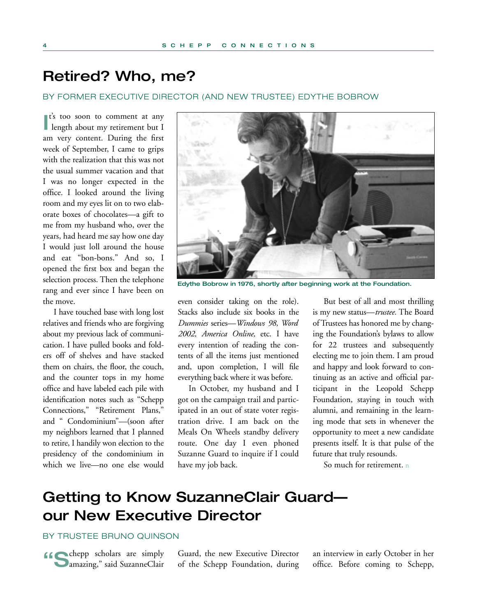# **Retired? Who, me?**

### BY FORMER EXECUTIVE DIRECTOR (AND NEW TRUSTEE) EDYTHE BOBROW

**I**<sup>t's</sup> too soon to comment at any length about my retirement but I **t**'s too soon to comment at any am very content. During the first week of September, I came to grips with the realization that this was not the usual summer vacation and that I was no longer expected in the office. I looked around the living room and my eyes lit on to two elaborate boxes of chocolates—a gift to me from my husband who, over the years, had heard me say how one day I would just loll around the house and eat "bon-bons." And so, I opened the first box and began the selection process. Then the telephone rang and ever since I have been on the move.

I have touched base with long lost relatives and friends who are forgiving about my previous lack of communication. I have pulled books and folders off of shelves and have stacked them on chairs, the floor, the couch, and the counter tops in my home office and have labeled each pile with identification notes such as "Schepp Connections," "Retirement Plans," and " Condominium"—(soon after my neighbors learned that I planned to retire, I handily won election to the presidency of the condominium in which we live—no one else would



**Edythe Bobrow in 1976, shortly after beginning work at the Foundation.**

even consider taking on the role). Stacks also include six books in the *Dummies* series—*Windows 98, Word 2002, America Online,* etc. I have every intention of reading the contents of all the items just mentioned and, upon completion, I will file everything back where it was before.

In October, my husband and I got on the campaign trail and participated in an out of state voter registration drive. I am back on the Meals On Wheels standby delivery route. One day I even phoned Suzanne Guard to inquire if I could have my job back.

But best of all and most thrilling is my new status—*trustee.* The Board of Trustees has honored me by changing the Foundation's bylaws to allow for 22 trustees and subsequently electing me to join them. I am proud and happy and look forward to continuing as an active and official participant in the Leopold Schepp Foundation, staying in touch with alumni, and remaining in the learning mode that sets in whenever the opportunity to meet a new candidate presents itself. It is that pulse of the future that truly resounds.

So much for retirement. n

# **Getting to Know SuzanneClair Guard our New Executive Director**

## BY TRUSTEE BRUNO QUINSON

**"Commander** Scholars are simply **Damazing,"** said SuzanneClair Guard, the new Executive Director of the Schepp Foundation, during an interview in early October in her office. Before coming to Schepp,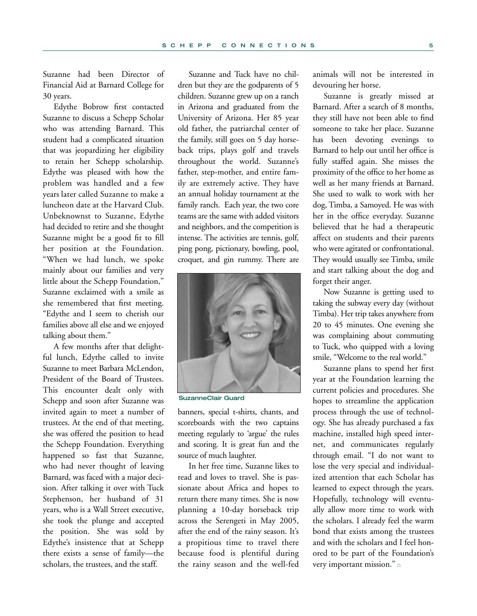Suzanne had been Director of Financial Aid at Barnard College for 30 years.

Edythe Bobrow first contacted Suzanne to discuss a Schepp Scholar who was attending Barnard. This student had a complicated situation that was jeopardizing her eligibility to retain her Schepp scholarship. Edythe was pleased with how the problem was handled and a few years later called Suzanne to make a luncheon date at the Harvard Club. Unbeknownst to Suzanne, Edythe had decided to retire and she thought Suzanne might be a good fit to fill her position at the Foundation. "When we had lunch, we spoke mainly about our families and very little about the Schepp Foundation," Suzanne exclaimed with a smile as she remembered that first meeting. "Edythe and I seem to cherish our families above all else and we enjoyed talking about them."

A few months after that delightful lunch, Edythe called to invite Suzanne to meet Barbara McLendon, President of the Board of Trustees. This encounter dealt only with Schepp and soon after Suzanne was invited again to meet a number of trustees. At the end of that meeting, she was offered the position to head the Schepp Foundation. Everything happened so fast that Suzanne, who had never thought of leaving Barnard, was faced with a major decision. After talking it over with Tuck Stephenson, her husband of 31 years, who is a Wall Street executive, she took the plunge and accepted the position. She was sold by Edythe's insistence that at Schepp there exists a sense of family—the scholars, the trustees, and the staff.

Suzanne and Tuck have no children but they are the godparents of 5 children. Suzanne grew up on a ranch in Arizona and graduated from the University of Arizona. Her 85 year old father, the patriarchal center of the family, still goes on 5 day horseback trips, plays golf and travels throughout the world. Suzanne's father, step-mother, and entire family are extremely active. They have an annual holiday tournament at the family ranch. Each year, the two core teams are the same with added visitors and neighbors, and the competition is intense. The activities are tennis, golf, ping pong, pictionary, bowling, pool, croquet, and gin rummy. There are



**SuzanneClair Guard**

banners, special t-shirts, chants, and scoreboards with the two captains meeting regularly to 'argue' the rules and scoring. It is great fun and the source of much laughter.

In her free time, Suzanne likes to read and loves to travel. She is passionate about Africa and hopes to return there many times. She is now planning a 10-day horseback trip across the Serengeti in May 2005, after the end of the rainy season. It's a propitious time to travel there because food is plentiful during the rainy season and the well-fed animals will not be interested in devouring her horse.

Suzanne is greatly missed at Barnard. After a search of 8 months, they still have not been able to find someone to take her place. Suzanne has been devoting evenings to Barnard to help out until her office is fully staffed again. She misses the proximity of the office to her home as well as her many friends at Barnard. She used to walk to work with her dog, Timba, a Samoyed. He was with her in the office everyday. Suzanne believed that he had a therapeutic affect on students and their parents who were agitated or confrontational. They would usually see Timba, smile and start talking about the dog and forget their anger.

Now Suzanne is getting used to taking the subway every day (without Timba). Her trip takes anywhere from 20 to 45 minutes. One evening she was complaining about commuting to Tuck, who quipped with a loving smile, "Welcome to the real world."

Suzanne plans to spend her first year at the Foundation learning the current policies and procedures. She hopes to streamline the application process through the use of technology. She has already purchased a fax machine, installed high speed internet, and communicates regularly through email. "I do not want to lose the very special and individualized attention that each Scholar has learned to expect through the years. Hopefully, technology will eventually allow more time to work with the scholars. I already feel the warm bond that exists among the trustees and with the scholars and I feel honored to be part of the Foundation's very important mission." n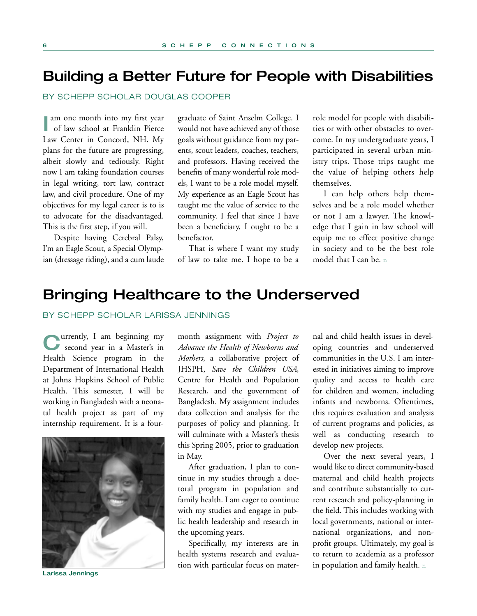## **Building a Better Future for People with Disabilities**

BY SCHEPP SCHOLAR DOUGLAS COOPER

**I** am one month into my first year<br>of law school at Franklin Pierce of law school at Franklin Pierce Law Center in Concord, NH. My plans for the future are progressing, albeit slowly and tediously. Right now I am taking foundation courses in legal writing, tort law, contract law, and civil procedure. One of my objectives for my legal career is to is to advocate for the disadvantaged. This is the first step, if you will.

Despite having Cerebral Palsy, I'm an Eagle Scout, a Special Olympian (dressage riding), and a cum laude graduate of Saint Anselm College. I would not have achieved any of those goals without guidance from my parents, scout leaders, coaches, teachers, and professors. Having received the benefits of many wonderful role models, I want to be a role model myself. My experience as an Eagle Scout has taught me the value of service to the community. I feel that since I have been a beneficiary, I ought to be a benefactor.

That is where I want my study of law to take me. I hope to be a

role model for people with disabilities or with other obstacles to overcome. In my undergraduate years, I participated in several urban ministry trips. Those trips taught me the value of helping others help themselves.

I can help others help themselves and be a role model whether or not I am a lawyer. The knowledge that I gain in law school will equip me to effect positive change in society and to be the best role model that I can be. n

## **Bringing Healthcare to the Underserved**

### BY SCHEPP SCHOLAR LARISSA JENNINGS

**C**urrently, I am beginning my second year in a Master's in Health Science program in the Department of International Health at Johns Hopkins School of Public Health. This semester, I will be working in Bangladesh with a neonatal health project as part of my internship requirement. It is a four-



**Larissa Jennings**

month assignment with *Project to Advance the Health of Newborns and Mothers*, a collaborative project of JHSPH, *Save the Children USA*, Centre for Health and Population Research, and the government of Bangladesh. My assignment includes data collection and analysis for the purposes of policy and planning. It will culminate with a Master's thesis this Spring 2005, prior to graduation in May.

After graduation, I plan to continue in my studies through a doctoral program in population and family health. I am eager to continue with my studies and engage in public health leadership and research in the upcoming years.

Specifically, my interests are in health systems research and evaluation with particular focus on mater-

nal and child health issues in developing countries and underserved communities in the U.S. I am interested in initiatives aiming to improve quality and access to health care for children and women, including infants and newborns. Oftentimes, this requires evaluation and analysis of current programs and policies, as well as conducting research to develop new projects.

Over the next several years, I would like to direct community-based maternal and child health projects and contribute substantially to current research and policy-planning in the field. This includes working with local governments, national or international organizations, and nonprofit groups. Ultimately, my goal is to return to academia as a professor in population and family health. n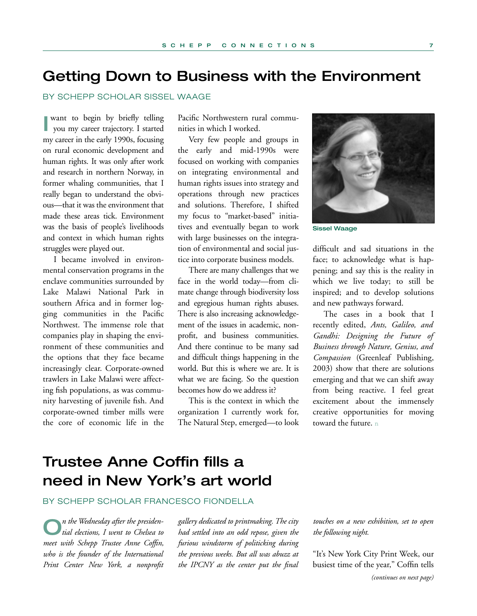# **Getting Down to Business with the Environment**

### BY SCHEPP SCHOLAR SISSEL WAAGE

**I** want to begin by briefly telling<br>you my career trajectory. I started want to begin by briefly telling my career in the early 1990s, focusing on rural economic development and human rights. It was only after work and research in northern Norway, in former whaling communities, that I really began to understand the obvious—that it was the environment that made these areas tick. Environment was the basis of people's livelihoods and context in which human rights struggles were played out.

I became involved in environmental conservation programs in the enclave communities surrounded by Lake Malawi National Park in southern Africa and in former logging communities in the Pacific Northwest. The immense role that companies play in shaping the environment of these communities and the options that they face became increasingly clear. Corporate-owned trawlers in Lake Malawi were affecting fish populations, as was community harvesting of juvenile fish. And corporate-owned timber mills were the core of economic life in the Pacific Northwestern rural communities in which I worked.

Very few people and groups in the early and mid-1990s were focused on working with companies on integrating environmental and human rights issues into strategy and operations through new practices and solutions. Therefore, I shifted my focus to "market-based" initiatives and eventually began to work with large businesses on the integration of environmental and social justice into corporate business models.

There are many challenges that we face in the world today—from climate change through biodiversity loss and egregious human rights abuses. There is also increasing acknowledgement of the issues in academic, nonprofit, and business communities. And there continue to be many sad and difficult things happening in the world. But this is where we are. It is what we are facing. So the question becomes how do we address it?

This is the context in which the organization I currently work for, The Natural Step, emerged—to look



**Sissel Waage**

difficult and sad situations in the face; to acknowledge what is happening; and say this is the reality in which we live today; to still be inspired; and to develop solutions and new pathways forward.

The cases in a book that I recently edited, *Ants, Galileo, and Gandhi: Designing the Future of Business through Nature, Genius, and Compassion* (Greenleaf Publishing, 2003) show that there are solutions emerging and that we can shift away from being reactive. I feel great excitement about the immensely creative opportunities for moving toward the future. n

# **Trustee Anne Coffin fills a need in New York's art world**

## BY SCHEPP SCHOLAR FRANCESCO FIONDELLA

**O***n the Wednesday after the presiden-tial elections, I went to Chelsea to meet with Schepp Trustee Anne Coffin, who is the founder of the International Print Center New York, a nonprofit*

*gallery dedicated to printmaking. The city had settled into an odd repose, given the furious windstorm of politicking during the previous weeks. But all was abuzz at the IPCNY as the center put the final*

*touches on a new exhibition, set to open the following night.* 

"It's New York City Print Week, our busiest time of the year," Coffin tells *(continues on next page)*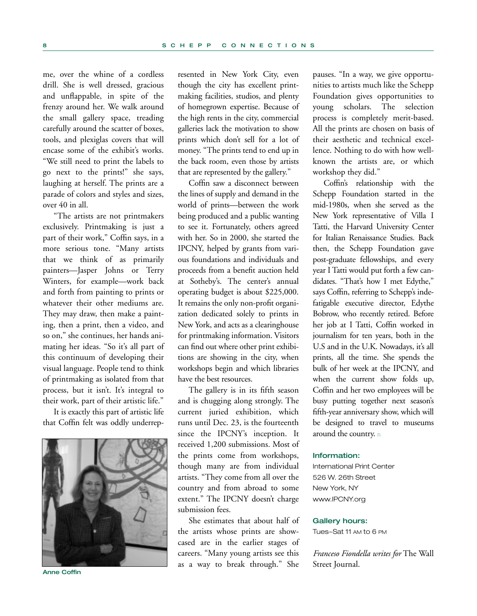me, over the whine of a cordless drill. She is well dressed, gracious and unflappable, in spite of the frenzy around her. We walk around the small gallery space, treading carefully around the scatter of boxes, tools, and plexiglas covers that will encase some of the exhibit's works. "We still need to print the labels to go next to the prints!" she says, laughing at herself. The prints are a parade of colors and styles and sizes, over 40 in all.

"The artists are not printmakers exclusively. Printmaking is just a part of their work," Coffin says, in a more serious tone. "Many artists that we think of as primarily painters—Jasper Johns or Terry Winters, for example—work back and forth from painting to prints or whatever their other mediums are. They may draw, then make a painting, then a print, then a video, and so on," she continues, her hands animating her ideas. "So it's all part of this continuum of developing their visual language. People tend to think of printmaking as isolated from that process, but it isn't. It's integral to their work, part of their artistic life."

It is exactly this part of artistic life that Coffin felt was oddly underrep-



**Anne Coffin**

resented in New York City, even though the city has excellent printmaking facilities, studios, and plenty of homegrown expertise. Because of the high rents in the city, commercial galleries lack the motivation to show prints which don't sell for a lot of money. "The prints tend to end up in the back room, even those by artists that are represented by the gallery."

Coffin saw a disconnect between the lines of supply and demand in the world of prints—between the work being produced and a public wanting to see it. Fortunately, others agreed with her. So in 2000, she started the IPCNY, helped by grants from various foundations and individuals and proceeds from a benefit auction held at Sotheby's. The center's annual operating budget is about \$225,000. It remains the only non-profit organization dedicated solely to prints in New York, and acts as a clearinghouse for printmaking information. Visitors can find out where other print exhibitions are showing in the city, when workshops begin and which libraries have the best resources.

The gallery is in its fifth season and is chugging along strongly. The current juried exhibition, which runs until Dec. 23, is the fourteenth since the IPCNY's inception. It received 1,200 submissions. Most of the prints come from workshops, though many are from individual artists. "They come from all over the country and from abroad to some extent." The IPCNY doesn't charge submission fees.

She estimates that about half of the artists whose prints are showcased are in the earlier stages of careers. "Many young artists see this as a way to break through." She

pauses. "In a way, we give opportunities to artists much like the Schepp Foundation gives opportunities to young scholars. The selection process is completely merit-based. All the prints are chosen on basis of their aesthetic and technical excellence. Nothing to do with how wellknown the artists are, or which workshop they did."

Coffin's relationship with the Schepp Foundation started in the mid-1980s, when she served as the New York representative of Villa I Tatti, the Harvard University Center for Italian Renaissance Studies. Back then, the Schepp Foundation gave post-graduate fellowships, and every year I Tatti would put forth a few candidates. "That's how I met Edythe," says Coffin, referring to Schepp's indefatigable executive director, Edythe Bobrow, who recently retired. Before her job at I Tatti, Coffin worked in journalism for ten years, both in the U.S and in the U.K. Nowadays, it's all prints, all the time. She spends the bulk of her week at the IPCNY, and when the current show folds up, Coffin and her two employees will be busy putting together next season's fifth-year anniversary show, which will be designed to travel to museums around the country. n

#### **Information:**

International Print Center 526 W. 26th Street New York, NY www.IPCNY.org

#### **Gallery hours:**

Tues–Sat 11 AM to 6 PM

*Franceso Fiondella writes for* The Wall Street Journal.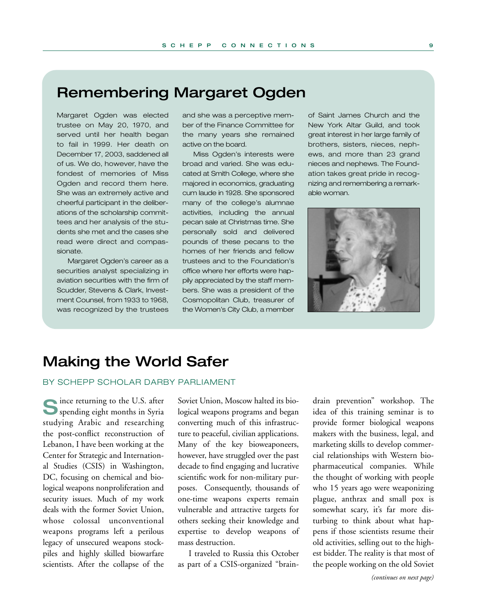# **Remembering Margaret Ogden**

Margaret Ogden was elected trustee on May 20, 1970, and served until her health began to fail in 1999. Her death on December 17, 2003, saddened all of us. We do, however, have the fondest of memories of Miss Ogden and record them here. She was an extremely active and cheerful participant in the deliberations of the scholarship committees and her analysis of the students she met and the cases she read were direct and compassionate.

Margaret Ogden's career as a securities analyst specializing in aviation securities with the firm of Scudder, Stevens & Clark, Investment Counsel, from 1933 to 1968, was recognized by the trustees

and she was a perceptive member of the Finance Committee for the many years she remained active on the board.

Miss Ogden's interests were broad and varied. She was educated at Smith College, where she majored in economics, graduating cum laude in 1928. She sponsored many of the college's alumnae activities, including the annual pecan sale at Christmas time. She personally sold and delivered pounds of these pecans to the homes of her friends and fellow trustees and to the Foundation's office where her efforts were happily appreciated by the staff members. She was a president of the Cosmopolitan Club, treasurer of the Women's City Club, a member

of Saint James Church and the New York Altar Guild, and took great interest in her large family of brothers, sisters, nieces, nephews, and more than 23 grand nieces and nephews. The Foundation takes great pride in recognizing and remembering a remarkable woman.



# **Making the World Safer**

### BY SCHEPP SCHOLAR DARBY PARLIAMENT

**S**ince returning to the U.S. after spending eight months in Syria studying Arabic and researching the post-conflict reconstruction of Lebanon, I have been working at the Center for Strategic and International Studies (CSIS) in Washington, DC, focusing on chemical and biological weapons nonproliferation and security issues. Much of my work deals with the former Soviet Union, whose colossal unconventional weapons programs left a perilous legacy of unsecured weapons stockpiles and highly skilled biowarfare scientists. After the collapse of the

Soviet Union, Moscow halted its biological weapons programs and began converting much of this infrastructure to peaceful, civilian applications. Many of the key bioweaponeers, however, have struggled over the past decade to find engaging and lucrative scientific work for non-military purposes. Consequently, thousands of one-time weapons experts remain vulnerable and attractive targets for others seeking their knowledge and expertise to develop weapons of mass destruction.

I traveled to Russia this October as part of a CSIS-organized "braindrain prevention" workshop. The idea of this training seminar is to provide former biological weapons makers with the business, legal, and marketing skills to develop commercial relationships with Western biopharmaceutical companies. While the thought of working with people who 15 years ago were weaponizing plague, anthrax and small pox is somewhat scary, it's far more disturbing to think about what happens if those scientists resume their old activities, selling out to the highest bidder. The reality is that most of the people working on the old Soviet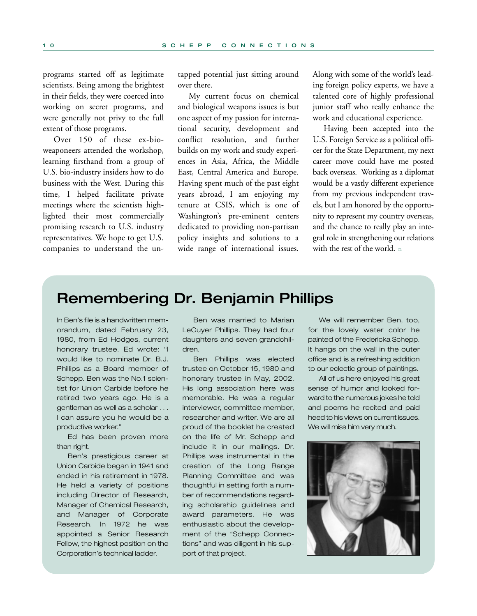programs started off as legitimate scientists. Being among the brightest in their fields, they were coerced into working on secret programs, and were generally not privy to the full extent of those programs.

Over 150 of these ex-bioweaponeers attended the workshop, learning firsthand from a group of U.S. bio-industry insiders how to do business with the West. During this time, I helped facilitate private meetings where the scientists highlighted their most commercially promising research to U.S. industry representatives. We hope to get U.S. companies to understand the untapped potential just sitting around over there.

My current focus on chemical and biological weapons issues is but one aspect of my passion for international security, development and conflict resolution, and further builds on my work and study experiences in Asia, Africa, the Middle East, Central America and Europe. Having spent much of the past eight years abroad, I am enjoying my tenure at CSIS, which is one of Washington's pre-eminent centers dedicated to providing non-partisan policy insights and solutions to a wide range of international issues.

Along with some of the world's leading foreign policy experts, we have a talented core of highly professional junior staff who really enhance the work and educational experience.

Having been accepted into the U.S. Foreign Service as a political officer for the State Department, my next career move could have me posted back overseas. Working as a diplomat would be a vastly different experience from my previous independent travels, but I am honored by the opportunity to represent my country overseas, and the chance to really play an integral role in strengthening our relations with the rest of the world. n

## **Remembering Dr. Benjamin Phillips**

In Ben's file is a handwritten memorandum, dated February 23, 1980, from Ed Hodges, current honorary trustee. Ed wrote: "I would like to nominate Dr. B.J. Phillips as a Board member of Schepp. Ben was the No.1 scientist for Union Carbide before he retired two years ago. He is a gentleman as well as a scholar . . . I can assure you he would be a productive worker."

Ed has been proven more than right.

Ben's prestigious career at Union Carbide began in 1941 and ended in his retirement in 1978. He held a variety of positions including Director of Research, Manager of Chemical Research, and Manager of Corporate Research. In 1972 he was appointed a Senior Research Fellow, the highest position on the Corporation's technical ladder.

Ben was married to Marian LeCuyer Phillips. They had four daughters and seven grandchildren.

Ben Phillips was elected trustee on October 15, 1980 and honorary trustee in May, 2002. His long association here was memorable. He was a regular interviewer, committee member, researcher and writer. We are all proud of the booklet he created on the life of Mr. Schepp and include it in our mailings. Dr. Phillips was instrumental in the creation of the Long Range Planning Committee and was thoughtful in setting forth a number of recommendations regarding scholarship guidelines and award parameters. He was enthusiastic about the development of the "Schepp Connections" and was diligent in his support of that project.

We will remember Ben, too, for the lovely water color he painted of the Fredericka Schepp. It hangs on the wall in the outer office and is a refreshing addition to our eclectic group of paintings.

All of us here enjoyed his great sense of humor and looked forward to the numerous jokes he told and poems he recited and paid heed to his views on current issues. We will miss him very much.

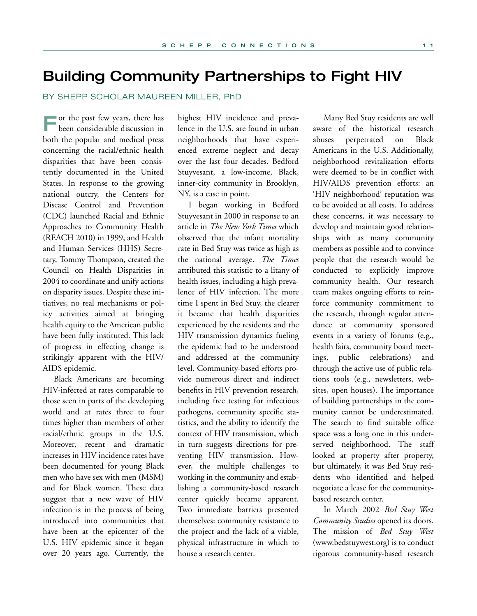## **Building Community Partnerships to Fight HIV**

BY SHEPP SCHOLAR MAUREEN MILLER, PhD

**F**or the past few years, there has been considerable discussion in both the popular and medical press concerning the racial/ethnic health disparities that have been consistently documented in the United States. In response to the growing national outcry, the Centers for Disease Control and Prevention (CDC) launched Racial and Ethnic Approaches to Community Health (REACH 2010) in 1999, and Health and Human Services (HHS) Secretary, Tommy Thompson, created the Council on Health Disparities in 2004 to coordinate and unify actions on disparity issues. Despite these initiatives, no real mechanisms or policy activities aimed at bringing health equity to the American public have been fully instituted. This lack of progress in effecting change is strikingly apparent with the HIV/ AIDS epidemic.

Black Americans are becoming HIV-infected at rates comparable to those seen in parts of the developing world and at rates three to four times higher than members of other racial/ethnic groups in the U.S. Moreover, recent and dramatic increases in HIV incidence rates have been documented for young Black men who have sex with men (MSM) and for Black women. These data suggest that a new wave of HIV infection is in the process of being introduced into communities that have been at the epicenter of the U.S. HIV epidemic since it began over 20 years ago. Currently, the

highest HIV incidence and prevalence in the U.S. are found in urban neighborhoods that have experienced extreme neglect and decay over the last four decades. Bedford Stuyvesant, a low-income, Black, inner-city community in Brooklyn, NY, is a case in point.

I began working in Bedford Stuyvesant in 2000 in response to an article in *The New York Times* which observed that the infant mortality rate in Bed Stuy was twice as high as the national average. *The Times* attributed this statistic to a litany of health issues, including a high prevalence of HIV infection. The more time I spent in Bed Stuy, the clearer it became that health disparities experienced by the residents and the HIV transmission dynamics fueling the epidemic had to be understood and addressed at the community level. Community-based efforts provide numerous direct and indirect benefits in HIV prevention research, including free testing for infectious pathogens, community specific statistics, and the ability to identify the context of HIV transmission, which in turn suggests directions for preventing HIV transmission. However, the multiple challenges to working in the community and establishing a community-based research center quickly became apparent. Two immediate barriers presented themselves: community resistance to the project and the lack of a viable, physical infrastructure in which to house a research center.

Many Bed Stuy residents are well aware of the historical research abuses perpetrated on Black Americans in the U.S. Additionally, neighborhood revitalization efforts were deemed to be in conflict with HIV/AIDS prevention efforts: an 'HIV neighborhood' reputation was to be avoided at all costs. To address these concerns, it was necessary to develop and maintain good relationships with as many community members as possible and to convince people that the research would be conducted to explicitly improve community health. Our research team makes ongoing efforts to reinforce community commitment to the research, through regular attendance at community sponsored events in a variety of forums (e.g., health fairs, community board meetings, public celebrations) and through the active use of public relations tools (e.g., newsletters, websites, open houses). The importance of building partnerships in the community cannot be underestimated. The search to find suitable office space was a long one in this underserved neighborhood. The staff looked at property after property, but ultimately, it was Bed Stuy residents who identified and helped negotiate a lease for the communitybased research center.

In March 2002 *Bed Stuy West Community Studies* opened its doors. The mission of *Bed Stuy West* (www.bedstuywest.org) is to conduct rigorous community-based research